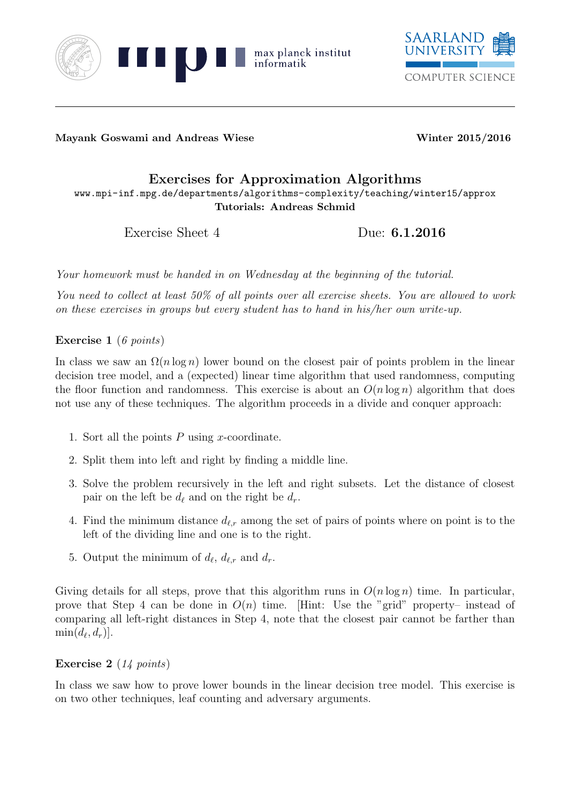



Mayank Goswami and Andreas Wiese Winter 2015/2016

## Exercises for Approximation Algorithms www.mpi-inf.mpg.de/departments/algorithms-complexity/teaching/winter15/approx Tutorials: Andreas Schmid

Exercise Sheet 4 Due: **6.1.2016** 

Your homework must be handed in on Wednesday at the beginning of the tutorial.

You need to collect at least 50% of all points over all exercise sheets. You are allowed to work on these exercises in groups but every student has to hand in his/her own write-up.

Exercise 1 (6 points)

In class we saw an  $\Omega(n \log n)$  lower bound on the closest pair of points problem in the linear decision tree model, and a (expected) linear time algorithm that used randomness, computing the floor function and randomness. This exercise is about an  $O(n \log n)$  algorithm that does not use any of these techniques. The algorithm proceeds in a divide and conquer approach:

- 1. Sort all the points  $P$  using  $x$ -coordinate.
- 2. Split them into left and right by finding a middle line.
- 3. Solve the problem recursively in the left and right subsets. Let the distance of closest pair on the left be  $d_\ell$  and on the right be  $d_r$ .
- 4. Find the minimum distance  $d_{\ell,r}$  among the set of pairs of points where on point is to the left of the dividing line and one is to the right.
- 5. Output the minimum of  $d_{\ell}$ ,  $d_{\ell,r}$  and  $d_r$ .

Giving details for all steps, prove that this algorithm runs in  $O(n \log n)$  time. In particular, prove that Step 4 can be done in  $O(n)$  time. [Hint: Use the "grid" property- instead of comparing all left-right distances in Step 4, note that the closest pair cannot be farther than  $\min(d_\ell, d_r)].$ 

## Exercise 2 (14 points)

In class we saw how to prove lower bounds in the linear decision tree model. This exercise is on two other techniques, leaf counting and adversary arguments.